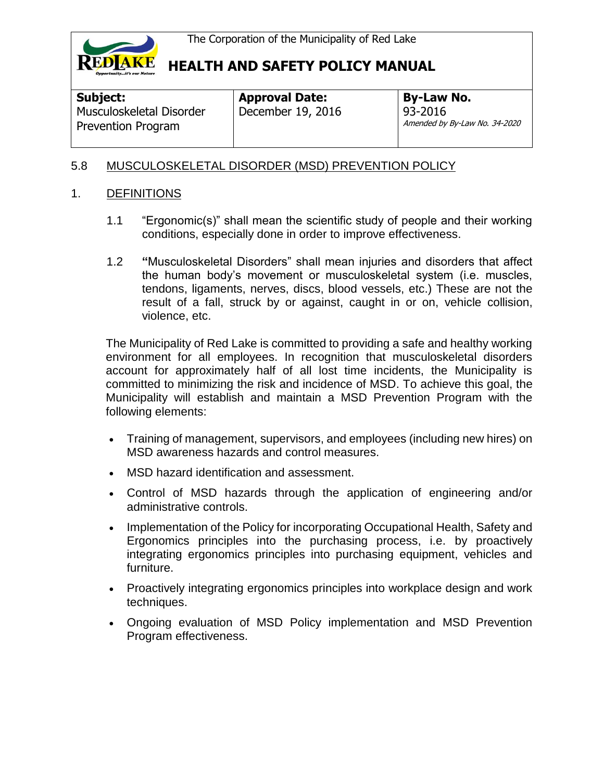

**Subject:** 

**Approval Date:** December 19, 2016 **By-Law No.** 93-2016 Amended by By-Law No. 34-2020

## 5.8 MUSCULOSKELETAL DISORDER (MSD) PREVENTION POLICY

### 1. DEFINITIONS

Musculoskeletal Disorder Prevention Program

- 1.1 "Ergonomic(s)" shall mean the scientific study of people and their working conditions, especially done in order to improve effectiveness.
- 1.2 **"**Musculoskeletal Disorders" shall mean injuries and disorders that affect the human body's movement or musculoskeletal system (i.e. muscles, tendons, ligaments, nerves, discs, blood vessels, etc.) These are not the result of a fall, struck by or against, caught in or on, vehicle collision, violence, etc.

The Municipality of Red Lake is committed to providing a safe and healthy working environment for all employees. In recognition that musculoskeletal disorders account for approximately half of all lost time incidents, the Municipality is committed to minimizing the risk and incidence of MSD. To achieve this goal, the Municipality will establish and maintain a MSD Prevention Program with the following elements:

- Training of management, supervisors, and employees (including new hires) on MSD awareness hazards and control measures.
- MSD hazard identification and assessment.
- Control of MSD hazards through the application of engineering and/or administrative controls.
- Implementation of the Policy for incorporating Occupational Health, Safety and Ergonomics principles into the purchasing process, i.e. by proactively integrating ergonomics principles into purchasing equipment, vehicles and furniture.
- Proactively integrating ergonomics principles into workplace design and work techniques.
- Ongoing evaluation of MSD Policy implementation and MSD Prevention Program effectiveness.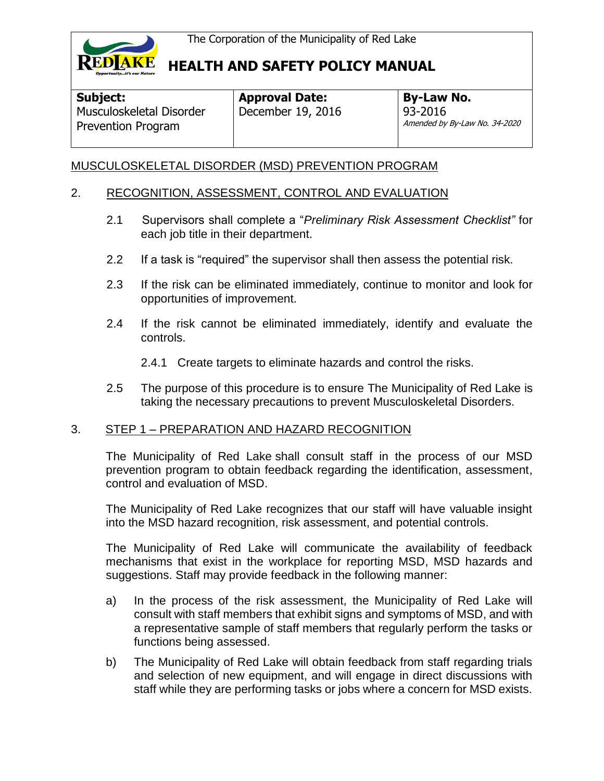

Musculoskeletal Disorder Prevention Program

# **HEALTH AND SAFETY POLICY MANUAL**

**Subject:** 

**Approval Date:** December 19, 2016 **By-Law No.** 93-2016 Amended by By-Law No. 34-2020

## MUSCULOSKELETAL DISORDER (MSD) PREVENTION PROGRAM

### 2. RECOGNITION, ASSESSMENT, CONTROL AND EVALUATION

- 2.1 Supervisors shall complete a "*Preliminary Risk Assessment Checklist"* for each job title in their department.
- 2.2 If a task is "required" the supervisor shall then assess the potential risk.
- 2.3 If the risk can be eliminated immediately, continue to monitor and look for opportunities of improvement.
- 2.4 If the risk cannot be eliminated immediately, identify and evaluate the controls.
	- 2.4.1 Create targets to eliminate hazards and control the risks.
- 2.5 The purpose of this procedure is to ensure The Municipality of Red Lake is taking the necessary precautions to prevent Musculoskeletal Disorders.

#### 3. STEP 1 – PREPARATION AND HAZARD RECOGNITION

The Municipality of Red Lake shall consult staff in the process of our MSD prevention program to obtain feedback regarding the identification, assessment, control and evaluation of MSD.

The Municipality of Red Lake recognizes that our staff will have valuable insight into the MSD hazard recognition, risk assessment, and potential controls.

The Municipality of Red Lake will communicate the availability of feedback mechanisms that exist in the workplace for reporting MSD, MSD hazards and suggestions. Staff may provide feedback in the following manner:

- a) In the process of the risk assessment, the Municipality of Red Lake will consult with staff members that exhibit signs and symptoms of MSD, and with a representative sample of staff members that regularly perform the tasks or functions being assessed.
- b) The Municipality of Red Lake will obtain feedback from staff regarding trials and selection of new equipment, and will engage in direct discussions with staff while they are performing tasks or jobs where a concern for MSD exists.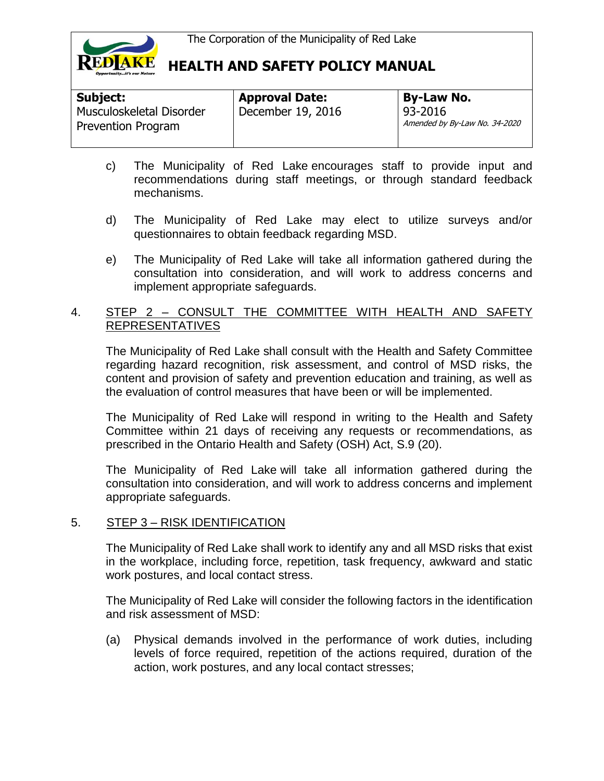

| Subject:                                              | <b>Approval Date:</b> | <b>By-Law No.</b>                          |
|-------------------------------------------------------|-----------------------|--------------------------------------------|
| Musculoskeletal Disorder<br><b>Prevention Program</b> | December 19, 2016     | $93-2016$<br>Amended by By-Law No. 34-2020 |

- c) The Municipality of Red Lake encourages staff to provide input and recommendations during staff meetings, or through standard feedback mechanisms.
- d) The Municipality of Red Lake may elect to utilize surveys and/or questionnaires to obtain feedback regarding MSD.
- e) The Municipality of Red Lake will take all information gathered during the consultation into consideration, and will work to address concerns and implement appropriate safeguards.

### 4. STEP 2 – CONSULT THE COMMITTEE WITH HEALTH AND SAFETY REPRESENTATIVES

The Municipality of Red Lake shall consult with the Health and Safety Committee regarding hazard recognition, risk assessment, and control of MSD risks, the content and provision of safety and prevention education and training, as well as the evaluation of control measures that have been or will be implemented.

The Municipality of Red Lake will respond in writing to the Health and Safety Committee within 21 days of receiving any requests or recommendations, as prescribed in the Ontario Health and Safety (OSH) Act, S.9 (20).

The Municipality of Red Lake will take all information gathered during the consultation into consideration, and will work to address concerns and implement appropriate safeguards.

#### 5. STEP 3 – RISK IDENTIFICATION

The Municipality of Red Lake shall work to identify any and all MSD risks that exist in the workplace, including force, repetition, task frequency, awkward and static work postures, and local contact stress.

The Municipality of Red Lake will consider the following factors in the identification and risk assessment of MSD:

(a) Physical demands involved in the performance of work duties, including levels of force required, repetition of the actions required, duration of the action, work postures, and any local contact stresses;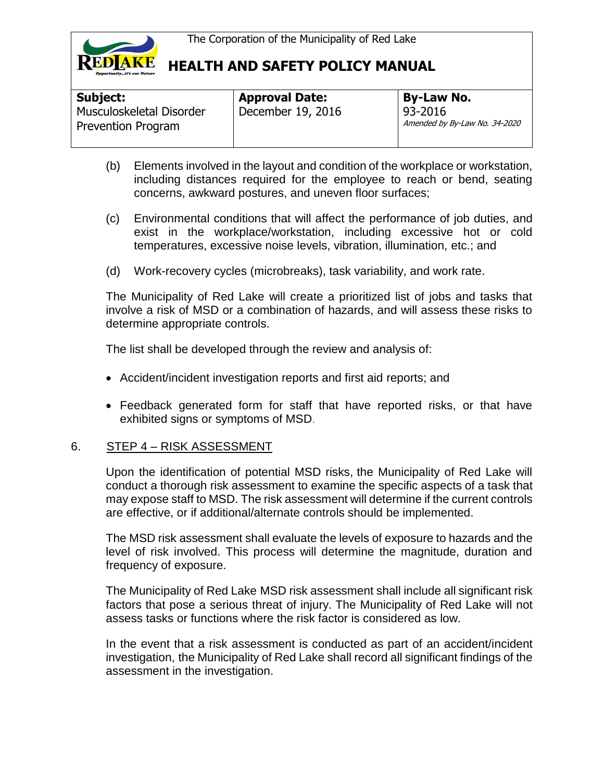

| Subject:                                              | <b>Approval Date:</b> | <b>By-Law No.</b>                        |
|-------------------------------------------------------|-----------------------|------------------------------------------|
| Musculoskeletal Disorder<br><b>Prevention Program</b> | December 19, 2016     | 93-2016<br>Amended by By-Law No. 34-2020 |

- (b) Elements involved in the layout and condition of the workplace or workstation, including distances required for the employee to reach or bend, seating concerns, awkward postures, and uneven floor surfaces;
- (c) Environmental conditions that will affect the performance of job duties, and exist in the workplace/workstation, including excessive hot or cold temperatures, excessive noise levels, vibration, illumination, etc.; and
- (d) Work-recovery cycles (microbreaks), task variability, and work rate.

The Municipality of Red Lake will create a prioritized list of jobs and tasks that involve a risk of MSD or a combination of hazards, and will assess these risks to determine appropriate controls.

The list shall be developed through the review and analysis of:

- Accident/incident investigation reports and first aid reports; and
- Feedback generated form for staff that have reported risks, or that have exhibited signs or symptoms of MSD.

### 6. STEP 4 – RISK ASSESSMENT

Upon the identification of potential MSD risks, the Municipality of Red Lake will conduct a thorough risk assessment to examine the specific aspects of a task that may expose staff to MSD. The risk assessment will determine if the current controls are effective, or if additional/alternate controls should be implemented.

The MSD risk assessment shall evaluate the levels of exposure to hazards and the level of risk involved. This process will determine the magnitude, duration and frequency of exposure.

The Municipality of Red Lake MSD risk assessment shall include all significant risk factors that pose a serious threat of injury. The Municipality of Red Lake will not assess tasks or functions where the risk factor is considered as low.

In the event that a risk assessment is conducted as part of an accident/incident investigation, the Municipality of Red Lake shall record all significant findings of the assessment in the investigation.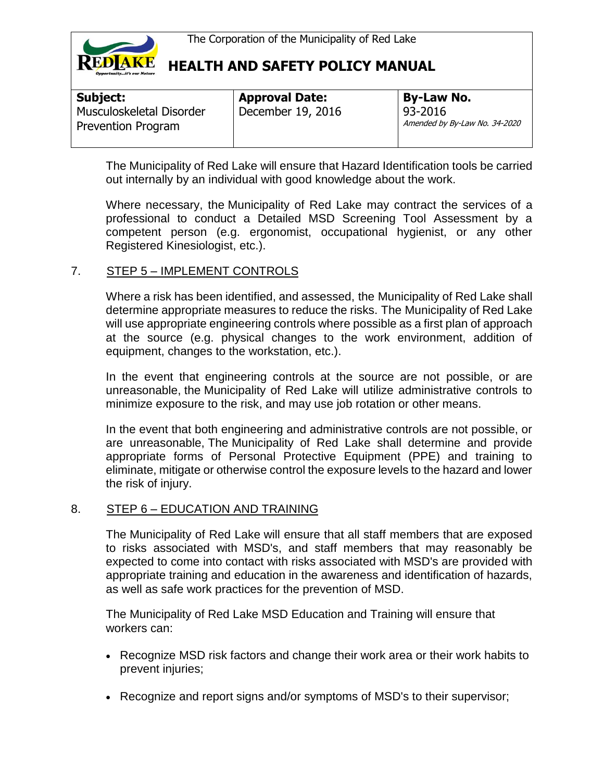

| <b>Subject:</b>                                       | <b>Approval Date:</b> | <b>By-Law No.</b>                        |
|-------------------------------------------------------|-----------------------|------------------------------------------|
| Musculoskeletal Disorder<br><b>Prevention Program</b> | December 19, 2016     | 93-2016<br>Amended by By-Law No. 34-2020 |

The Municipality of Red Lake will ensure that Hazard Identification tools be carried out internally by an individual with good knowledge about the work.

Where necessary, the Municipality of Red Lake may contract the services of a professional to conduct a Detailed MSD Screening Tool Assessment by a competent person (e.g. ergonomist, occupational hygienist, or any other Registered Kinesiologist, etc.).

### 7. STEP 5 – IMPLEMENT CONTROLS

Where a risk has been identified, and assessed, the Municipality of Red Lake shall determine appropriate measures to reduce the risks. The Municipality of Red Lake will use appropriate engineering controls where possible as a first plan of approach at the source (e.g. physical changes to the work environment, addition of equipment, changes to the workstation, etc.).

In the event that engineering controls at the source are not possible, or are unreasonable, the Municipality of Red Lake will utilize administrative controls to minimize exposure to the risk, and may use job rotation or other means.

In the event that both engineering and administrative controls are not possible, or are unreasonable, The Municipality of Red Lake shall determine and provide appropriate forms of Personal Protective Equipment (PPE) and training to eliminate, mitigate or otherwise control the exposure levels to the hazard and lower the risk of injury.

#### 8. STEP 6 – EDUCATION AND TRAINING

The Municipality of Red Lake will ensure that all staff members that are exposed to risks associated with MSD's, and staff members that may reasonably be expected to come into contact with risks associated with MSD's are provided with appropriate training and education in the awareness and identification of hazards, as well as safe work practices for the prevention of MSD.

The Municipality of Red Lake MSD Education and Training will ensure that workers can:

- Recognize MSD risk factors and change their work area or their work habits to prevent injuries;
- Recognize and report signs and/or symptoms of MSD's to their supervisor;